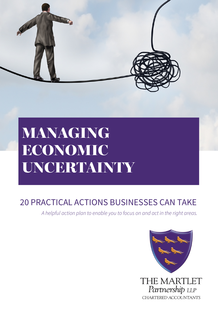

# MANAGING ECONOMIC UNCERTAINTY

## 20 PRACTICAL ACTIONS BUSINESSES CAN TAKE

*A helpful action plan to enable you to focus on and act in the right areas.*

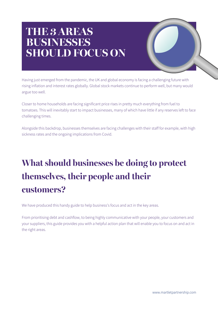## **THE 3 AREAS BUSINESSES SHOULD FOCUS ON**

Having just emerged from the pandemic, the UK and global economy is facing a challenging future with rising inflation and interest rates globally. Global stock markets continue to perform well, but many would argue too well.

Closer to home households are facing significant price rises in pretty much everything from fuel to tomatoes. This will inevitably start to impact businesses, many of which have little if any reserves left to face challenging times.

Alongside this backdrop, businesses themselves are facing challenges with their staff for example, with high sickness rates and the ongoing implications from Covid.

## **What should businesses be doing to protect themselves, their people and their customers?**

We have produced this handy guide to help business's focus and act in the key areas.

From prioritising debt and cashflow, to being highly communicative with your people, your customers and your suppliers, this guide provides you with a helpful action plan that will enable you to focus on and act in the right areas.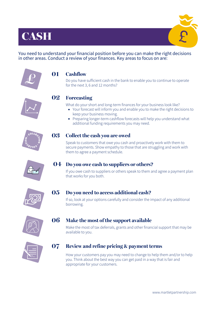## **CASH**





### **Cashflow 01**

Do you have sufficient cash in the bank to enable you to continue to operate for the next 3, 6 and 12 months?

## **Forecasting 02**

What do your short and long-term finances for your business look like?

- Your forecast will inform you and enable you to make the right decisions to keep your business moving.
- Preparing longer-term cashflow forecasts will help you understand what additional funding requirements you may need.



#### **Collect the cash you are owed 03**

Speak to customers that owe you cash and proactively work with them to secure payments. Show empathy to those that are struggling and work with them to agree a payment schedule.



## **Do you owe cash to suppliers or others? 04**

If you owe cash to suppliers or others speak to them and agree a payment plan that works for you both.



#### **Do you need to access additional cash? 05**

If so, look at your options carefully and consider the impact of any additional borrowing.



### **Make the most of the support available 06**

Make the most of tax deferrals, grants and other financial support that may be available to you.



### **Review and refine pricing & payment terms 07**

How your customers pay you may need to change to help them and/or to help you. Think about the best way you can get paid in a way that is fair and appropriate for your customers.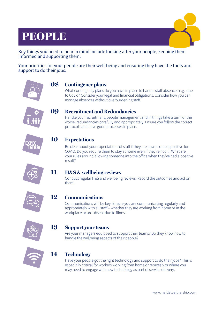## PEOPLE



Key things you need to bear in mind include looking after your people, keeping them informed and supporting them.

Your priorities for your people are their well-being and ensuring they have the tools and support to do their jobs.



#### **Contingency plans 08**

What contingency plans do you have in place to handle staff absences e.g., due to Covid? Consider your legal and financial obligations. Consider how you can manage absences without overburdening staff.



### **Recruitment and Redundancies 09**

Handle your recruitment, people management and, if things take a turn for the worse, redundancies carefully and appropriately. Ensure you follow the correct protocols and have good processes in place.



**10**

**11**

**14**

## **Expectations**

Be clear about your expectations of staff if they are unwell or test positive for COVID. Do you require them to stay at home even if they're not ill. What are your rules around allowing someone into the office when they've had a positive result?



## **H&S & wellbeing reviews**

Conduct regular H&S and wellbeing reviews. Record the outcomes and act on them.



#### **Communications 12**

Communications will be key. Ensure you are communicating regularly and appropriately with all staff – whether they are working from home or in the workplace or are absent due to illness.



#### **Support your teams 13**

Are your managers equipped to support their teams? Do they know how to handle the wellbeing aspects of their people?



## **Technology**

Have your people got the right technology and support to do their jobs? This is especially critical for workers working from home or remotely or where you may need to engage with new technology as part of service delivery.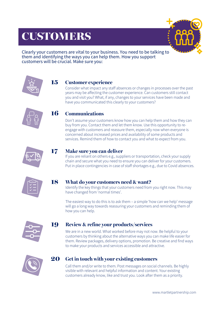## CUSTOMERS

15

17



Clearly your customers are vital to your business. You need to be talking to them and identifying the ways you can help them. How you support customers will be crucial. Make sure you:



## **Customer experience**

Consider what impact any staff absences or changes in processes over the past years may be affecting the customer experience. Can customers still contact you and visit you? What, if any, changes to your services have been made and have you communicated this clearly to your customers?



### **Communications** 16

Don't assume your customers know how you can help them and how they can buy from you. Contact them and let them know. Use this opportunity to reengage with customers and reassure them, especially now when everyone is concerned about increased prices and availability of some products and services. Remind them of how to contact you and what to expect from you.



## **Make sure you can deliver**

If you are reliant on others e.g., suppliers or transportation, check your supply chain and secure what you need to ensure you can deliver for your customers. Put in place contingencies in case of staff shortages e.g., due to Covid absences.



#### **What do your customers need & want?** 18

Identify the key things that your customers need from you right now. This may have changed from 'normal times'.

The easiest way to do this is to ask them – a simple 'how can we help' message will go a long way towards reassuring your customers and reminding them of how you can help.



### **Review & refine your products/services** 19

We are in a new world. What worked before may not now. Be helpful to your customers by thinking about the alternative ways you can make life easier for them. Review packages, delivery options, promotion. Be creative and find ways to make your products and services accessible and attractive.



### **Get in touch with your existing customers** 20

Call them and/or write to them. Post messages on social channels. Be highly visible with relevant and helpful information and content. Your existing customers already know, like and trust you. Look after them as a priority.